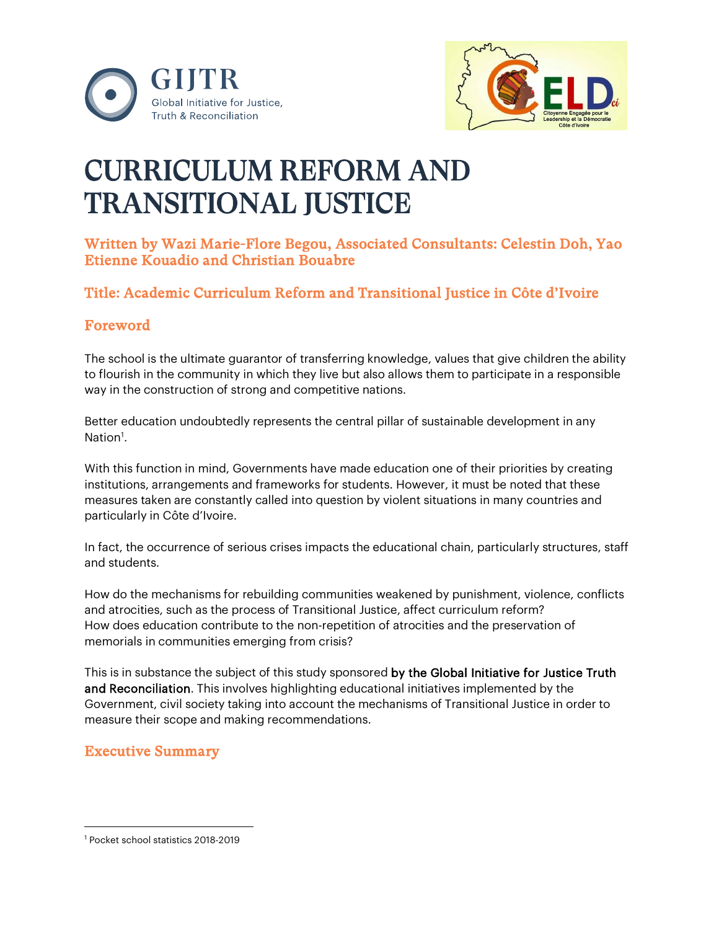



# CURRICULUM REFORM AND TRANSITIONAL JUSTICE

# Written by Wazi Marie-Flore Begou, Associated Consultants: Celestin Doh, Yao Etienne Kouadio and Christian Bouabre

# Title: Academic Curriculum Reform and Transitional Justice in Côte d'Ivoire

# Foreword

The school is the ultimate guarantor of transferring knowledge, values that give children the ability to flourish in the community in which they live but also allows them to participate in a responsible way in the construction of strong and competitive nations.

Better education undoubtedly represents the central pillar of sustainable development in any Nation<sup>[1](#page-0-0)</sup>.

With this function in mind, Governments have made education one of their priorities by creating institutions, arrangements and frameworks for students. However, it must be noted that these measures taken are constantly called into question by violent situations in many countries and particularly in Côte d'Ivoire.

In fact, the occurrence of serious crises impacts the educational chain, particularly structures, staff and students.

How do the mechanisms for rebuilding communities weakened by punishment, violence, conflicts and atrocities, such as the process of Transitional Justice, affect curriculum reform? How does education contribute to the non-repetition of atrocities and the preservation of memorials in communities emerging from crisis?

This is in substance the subject of this study sponsored by the Global Initiative for Justice Truth and Reconciliation. This involves highlighting educational initiatives implemented by the Government, civil society taking into account the mechanisms of Transitional Justice in order to measure their scope and making recommendations.

# Executive Summary

<span id="page-0-0"></span><sup>1</sup> Pocket school statistics 2018-2019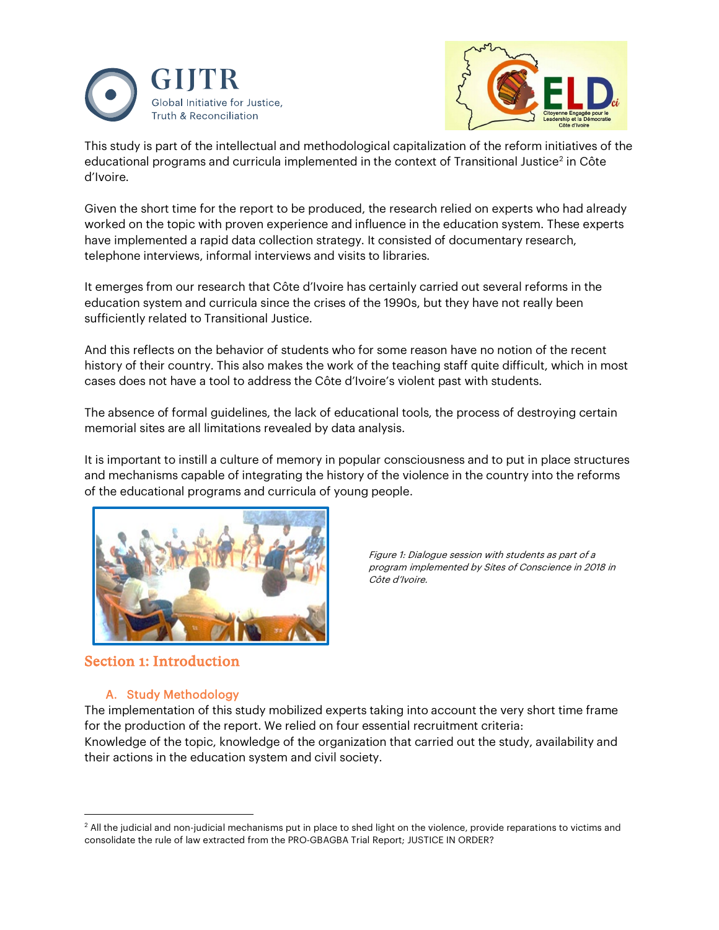



This study is part of the intellectual and methodological capitalization of the reform initiatives of the educational programs and curricula implemented in the context of Transitional Justice<sup>2</sup> in Côte d'Ivoire.

Given the short time for the report to be produced, the research relied on experts who had already worked on the topic with proven experience and influence in the education system. These experts have implemented a rapid data collection strategy. It consisted of documentary research, telephone interviews, informal interviews and visits to libraries.

It emerges from our research that Côte d'Ivoire has certainly carried out several reforms in the education system and curricula since the crises of the 1990s, but they have not really been sufficiently related to Transitional Justice.

And this reflects on the behavior of students who for some reason have no notion of the recent history of their country. This also makes the work of the teaching staff quite difficult, which in most cases does not have a tool to address the Côte d'Ivoire's violent past with students.

The absence of formal guidelines, the lack of educational tools, the process of destroying certain memorial sites are all limitations revealed by data analysis.

It is important to instill a culture of memory in popular consciousness and to put in place structures and mechanisms capable of integrating the history of the violence in the country into the reforms of the educational programs and curricula of young people.



Figure 1: Dialogue session with students as part of a program implemented by Sites of Conscience in 2018 in Côte d'Ivoire.

#### Section 1: Introduction

#### A. Study Methodology

The implementation of this study mobilized experts taking into account the very short time frame for the production of the report. We relied on four essential recruitment criteria: Knowledge of the topic, knowledge of the organization that carried out the study, availability and their actions in the education system and civil society.

<span id="page-1-0"></span><sup>&</sup>lt;sup>2</sup> All the judicial and non-judicial mechanisms put in place to shed light on the violence, provide reparations to victims and consolidate the rule of law extracted from the PRO-GBAGBA Trial Report; JUSTICE IN ORDER?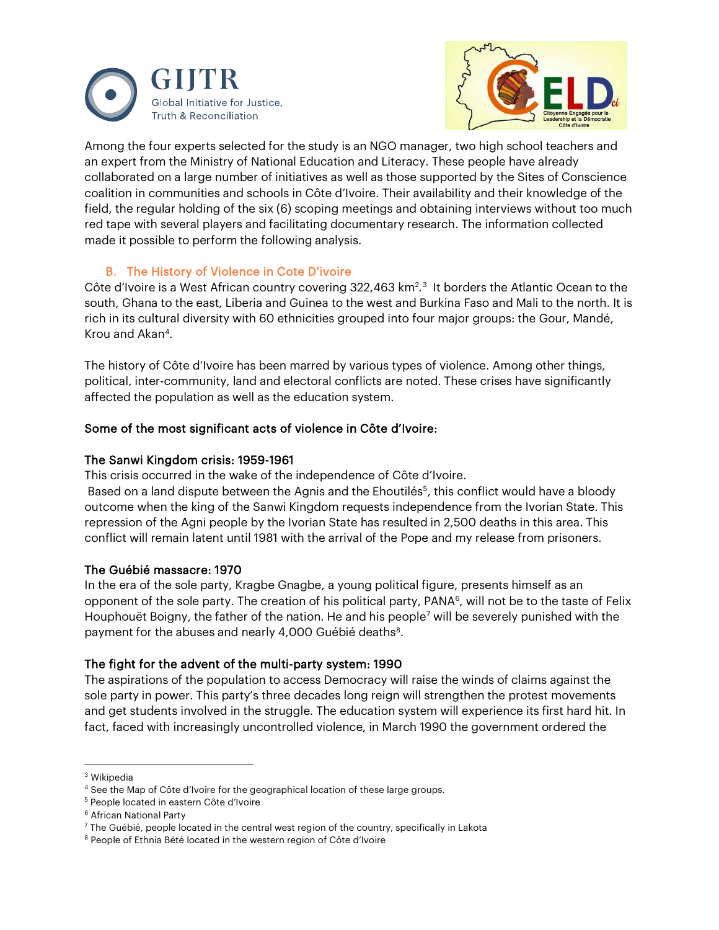



Among the four experts selected for the study is an NGO manager, two high school teachers and an expert from the Ministry of National Education and Literacy. These people have already collaborated on a large number of initiatives as well as those supported by the Sites of Conscience coalition in communities and schools in Côte d'Ivoire. Their availability and their knowledge of the field, the regular holding of the six (6) scoping meetings and obtaining interviews without too much red tape with several players and facilitating documentary research. The information collected made it possible to perform the following analysis.

#### B. The History of Violence in Cote D'ivoire

Côte d'Ivoire is a West African country covering [3](#page-2-0)22,463 km<sup>2</sup>.<sup>3</sup> It borders the Atlantic Ocean to the south, Ghana to the east, Liberia and Guinea to the west and Burkina Faso and Mali to the north. It is rich in its cultural diversity with 60 ethnicities grouped into four major groups: the Gour, Mandé, Krou and Akan[4](#page-2-1).

The history of Côte d'Ivoire has been marred by various types of violence. Among other things, political, inter-community, land and electoral conflicts are noted. These crises have significantly affected the population as well as the education system.

#### Some of the most significant acts of violence in Côte d'Ivoire:

#### The Sanwi Kingdom crisis: 1959-1961

This crisis occurred in the wake of the independence of Côte d'Ivoire.

Based on a land dispute between the Agnis and the Ehoutilés<sup>5</sup>, this conflict would have a bloody outcome when the king of the Sanwi Kingdom requests independence from the Ivorian State. This repression of the Agni people by the Ivorian State has resulted in 2,500 deaths in this area. This conflict will remain latent until 1981 with the arrival of the Pope and my release from prisoners.

#### The Guébié massacre: 1970

In the era of the sole party, Kragbe Gnagbe, a young political figure, presents himself as an opponent of the sole party. The creation of his political party, PANA<sup>6</sup>, will not be to the taste of Felix Houphouët Boigny, the father of the nation. He and his people<sup>7</sup> will be severely punished with the payment for the abuses and nearly 4,000 Guébié deaths<sup>8</sup>.

#### The fight for the advent of the multi-party system: 1990

The aspirations of the population to access Democracy will raise the winds of claims against the sole party in power. This party's three decades long reign will strengthen the protest movements and get students involved in the struggle. The education system will experience its first hard hit. In fact, faced with increasingly uncontrolled violence, in March 1990 the government ordered the

<span id="page-2-0"></span><sup>3</sup> Wikipedia

<span id="page-2-1"></span><sup>4</sup> See the Map of Côte d'Ivoire for the geographical location of these large groups.

<span id="page-2-2"></span><sup>5</sup> People located in eastern Côte d'Ivoire

<span id="page-2-3"></span><sup>6</sup> African National Party

<span id="page-2-4"></span> $7$  The Guébié, people located in the central west region of the country, specifically in Lakota

<span id="page-2-5"></span><sup>&</sup>lt;sup>8</sup> People of Ethnia Bété located in the western region of Côte d'Ivoire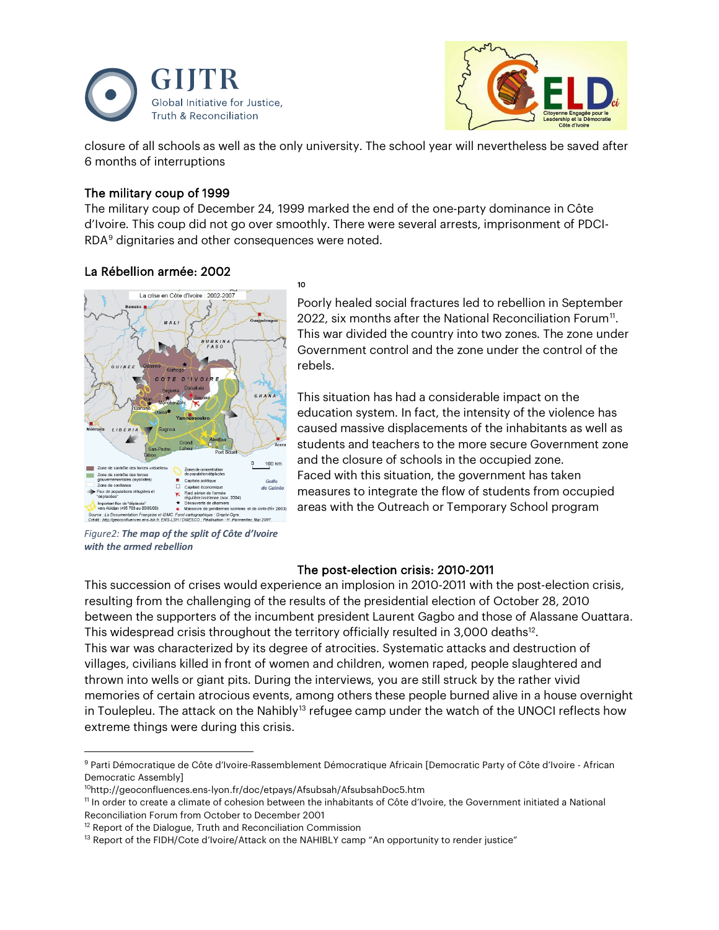



closure of all schools as well as the only university. The school year will nevertheless be saved after 6 months of interruptions

#### The military coup of 1999

The military coup of December 24, 1999 marked the end of the one-party dominance in Côte d'Ivoire. This coup did not go over smoothly. There were several arrests, imprisonment of PDCI-RDA[9](#page-3-0) dignitaries and other consequences were noted.



*Figure2: The map of the split of Côte d'Ivoire with the armed rebellion*

Poorly healed social fractures led to rebellion in September 2022, six months after the National Reconciliation Forum<sup>[11](#page-3-2)</sup>. This war divided the country into two zones. The zone under Government control and the zone under the control of the rebels.

This situation has had a considerable impact on the education system. In fact, the intensity of the violence has caused massive displacements of the inhabitants as well as students and teachers to the more secure Government zone and the closure of schools in the occupied zone. Faced with this situation, the government has taken measures to integrate the flow of students from occupied areas with the Outreach or Temporary School program

#### The post-election crisis: 2010-2011

This succession of crises would experience an implosion in 2010-2011 with the post-election crisis, resulting from the challenging of the results of the presidential election of October 28, 2010 between the supporters of the incumbent president Laurent Gagbo and those of Alassane Ouattara. This widespread crisis throughout the territory officially resulted in 3,000 deaths $12$ . This war was characterized by its degree of atrocities. Systematic attacks and destruction of villages, civilians killed in front of women and children, women raped, people slaughtered and thrown into wells or giant pits. During the interviews, you are still struck by the rather vivid memories of certain atrocious events, among others these people burned alive in a house overnight in Toulepleu. The attack on the Nahibly<sup>[13](#page-3-4)</sup> refugee camp under the watch of the UNOCI reflects how extreme things were during this crisis.

<span id="page-3-4"></span><span id="page-3-3"></span> $12$  Report of the Dialogue, Truth and Reconciliation Commission

<span id="page-3-0"></span><sup>9</sup> Parti Démocratique de Côte d'Ivoire-Rassemblement Démocratique Africain [Democratic Party of Côte d'Ivoire - African Democratic Assembly]

<span id="page-3-1"></span><sup>10</sup>http://geoconfluences.ens-lyon.fr/doc/etpays/Afsubsah/AfsubsahDoc5.htm

<span id="page-3-2"></span><sup>11</sup> In order to create a climate of cohesion between the inhabitants of Côte d'Ivoire, the Government initiated a National Reconciliation Forum from October to December 2001

 $13$  Report of the FIDH/Cote d'Ivoire/Attack on the NAHIBLY camp "An opportunity to render justice"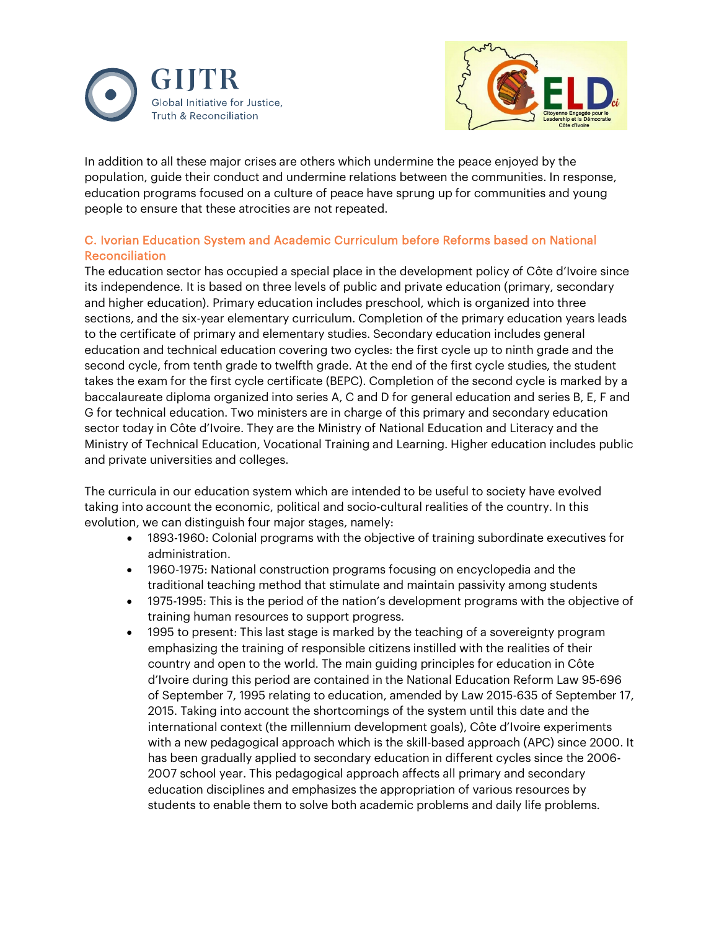



In addition to all these major crises are others which undermine the peace enjoyed by the population, guide their conduct and undermine relations between the communities. In response, education programs focused on a culture of peace have sprung up for communities and young people to ensure that these atrocities are not repeated.

#### C. Ivorian Education System and Academic Curriculum before Reforms based on National Reconciliation

The education sector has occupied a special place in the development policy of Côte d'Ivoire since its independence. It is based on three levels of public and private education (primary, secondary and higher education). Primary education includes preschool, which is organized into three sections, and the six-year elementary curriculum. Completion of the primary education years leads to the certificate of primary and elementary studies. Secondary education includes general education and technical education covering two cycles: the first cycle up to ninth grade and the second cycle, from tenth grade to twelfth grade. At the end of the first cycle studies, the student takes the exam for the first cycle certificate (BEPC). Completion of the second cycle is marked by a baccalaureate diploma organized into series A, C and D for general education and series B, E, F and G for technical education. Two ministers are in charge of this primary and secondary education sector today in Côte d'Ivoire. They are the Ministry of National Education and Literacy and the Ministry of Technical Education, Vocational Training and Learning. Higher education includes public and private universities and colleges.

The curricula in our education system which are intended to be useful to society have evolved taking into account the economic, political and socio-cultural realities of the country. In this evolution, we can distinguish four major stages, namely:

- 1893-1960: Colonial programs with the objective of training subordinate executives for administration.
- 1960-1975: National construction programs focusing on encyclopedia and the traditional teaching method that stimulate and maintain passivity among students
- 1975-1995: This is the period of the nation's development programs with the objective of training human resources to support progress.
- 1995 to present: This last stage is marked by the teaching of a sovereignty program emphasizing the training of responsible citizens instilled with the realities of their country and open to the world. The main guiding principles for education in Côte d'Ivoire during this period are contained in the National Education Reform Law 95-696 of September 7, 1995 relating to education, amended by Law 2015-635 of September 17, 2015. Taking into account the shortcomings of the system until this date and the international context (the millennium development goals), Côte d'Ivoire experiments with a new pedagogical approach which is the skill-based approach (APC) since 2000. It has been gradually applied to secondary education in different cycles since the 2006- 2007 school year. This pedagogical approach affects all primary and secondary education disciplines and emphasizes the appropriation of various resources by students to enable them to solve both academic problems and daily life problems.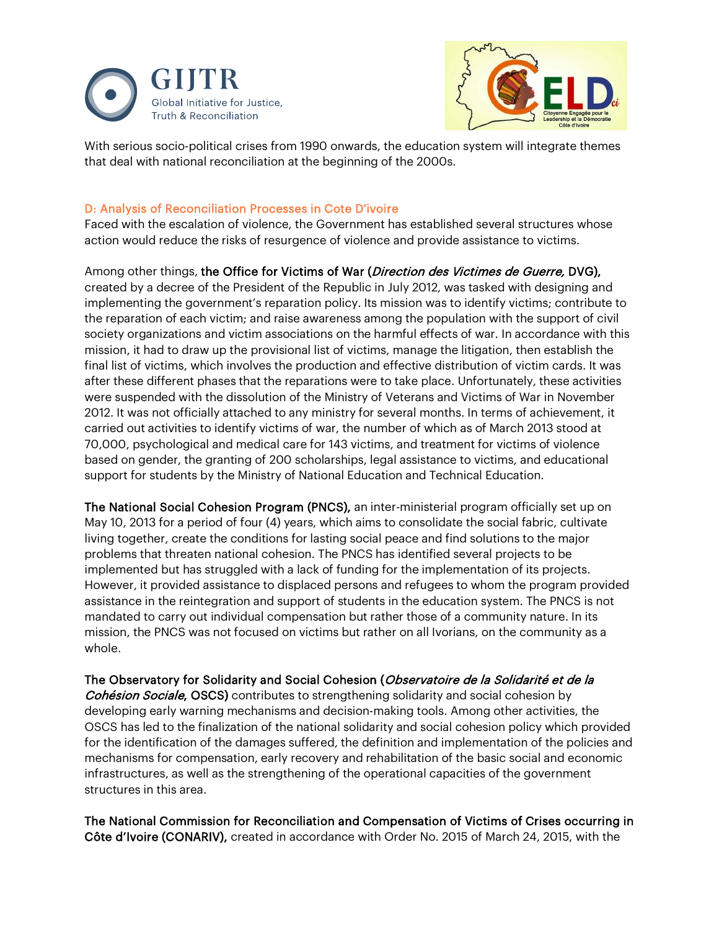



With serious socio-political crises from 1990 onwards, the education system will integrate themes that deal with national reconciliation at the beginning of the 2000s.

#### D: Analysis of Reconciliation Processes in Cote D'ivoire

Faced with the escalation of violence, the Government has established several structures whose action would reduce the risks of resurgence of violence and provide assistance to victims.

Among other things, the Office for Victims of War (Direction des Victimes de Guerre, DVG), created by a decree of the President of the Republic in July 2012, was tasked with designing and implementing the government's reparation policy. Its mission was to identify victims; contribute to the reparation of each victim; and raise awareness among the population with the support of civil society organizations and victim associations on the harmful effects of war. In accordance with this mission, it had to draw up the provisional list of victims, manage the litigation, then establish the final list of victims, which involves the production and effective distribution of victim cards. It was after these different phases that the reparations were to take place. Unfortunately, these activities were suspended with the dissolution of the Ministry of Veterans and Victims of War in November 2012. It was not officially attached to any ministry for several months. In terms of achievement, it carried out activities to identify victims of war, the number of which as of March 2013 stood at 70,000, psychological and medical care for 143 victims, and treatment for victims of violence based on gender, the granting of 200 scholarships, legal assistance to victims, and educational support for students by the Ministry of National Education and Technical Education.

The National Social Cohesion Program (PNCS), an inter-ministerial program officially set up on May 10, 2013 for a period of four (4) years, which aims to consolidate the social fabric, cultivate living together, create the conditions for lasting social peace and find solutions to the major problems that threaten national cohesion. The PNCS has identified several projects to be implemented but has struggled with a lack of funding for the implementation of its projects. However, it provided assistance to displaced persons and refugees to whom the program provided assistance in the reintegration and support of students in the education system. The PNCS is not mandated to carry out individual compensation but rather those of a community nature. In its mission, the PNCS was not focused on victims but rather on all Ivorians, on the community as a whole.

The Observatory for Solidarity and Social Cohesion (Observatoire de la Solidarité et de la **Cohésion Sociale, OSCS)** contributes to strengthening solidarity and social cohesion by developing early warning mechanisms and decision-making tools. Among other activities, the OSCS has led to the finalization of the national solidarity and social cohesion policy which provided for the identification of the damages suffered, the definition and implementation of the policies and mechanisms for compensation, early recovery and rehabilitation of the basic social and economic infrastructures, as well as the strengthening of the operational capacities of the government structures in this area.

The National Commission for Reconciliation and Compensation of Victims of Crises occurring in Côte d'Ivoire (CONARIV), created in accordance with Order No. 2015 of March 24, 2015, with the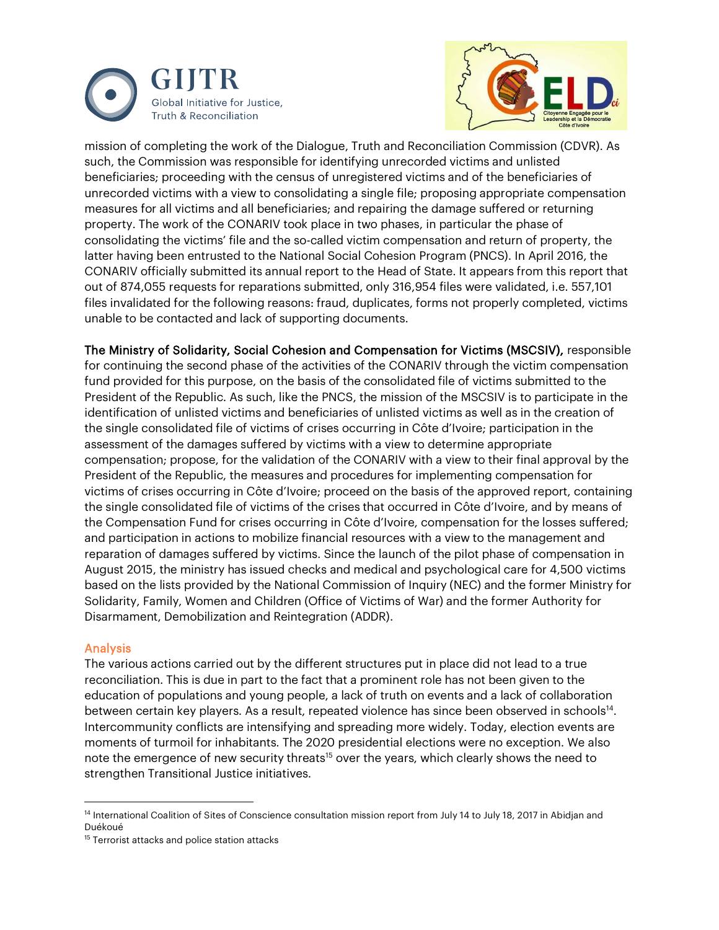



mission of completing the work of the Dialogue, Truth and Reconciliation Commission (CDVR). As such, the Commission was responsible for identifying unrecorded victims and unlisted beneficiaries; proceeding with the census of unregistered victims and of the beneficiaries of unrecorded victims with a view to consolidating a single file; proposing appropriate compensation measures for all victims and all beneficiaries; and repairing the damage suffered or returning property. The work of the CONARIV took place in two phases, in particular the phase of consolidating the victims' file and the so-called victim compensation and return of property, the latter having been entrusted to the National Social Cohesion Program (PNCS). In April 2016, the CONARIV officially submitted its annual report to the Head of State. It appears from this report that out of 874,055 requests for reparations submitted, only 316,954 files were validated, i.e. 557,101 files invalidated for the following reasons: fraud, duplicates, forms not properly completed, victims unable to be contacted and lack of supporting documents.

The Ministry of Solidarity, Social Cohesion and Compensation for Victims (MSCSIV), responsible for continuing the second phase of the activities of the CONARIV through the victim compensation fund provided for this purpose, on the basis of the consolidated file of victims submitted to the President of the Republic. As such, like the PNCS, the mission of the MSCSIV is to participate in the identification of unlisted victims and beneficiaries of unlisted victims as well as in the creation of the single consolidated file of victims of crises occurring in Côte d'Ivoire; participation in the assessment of the damages suffered by victims with a view to determine appropriate compensation; propose, for the validation of the CONARIV with a view to their final approval by the President of the Republic, the measures and procedures for implementing compensation for victims of crises occurring in Côte d'Ivoire; proceed on the basis of the approved report, containing the single consolidated file of victims of the crises that occurred in Côte d'Ivoire, and by means of the Compensation Fund for crises occurring in Côte d'Ivoire, compensation for the losses suffered; and participation in actions to mobilize financial resources with a view to the management and reparation of damages suffered by victims. Since the launch of the pilot phase of compensation in August 2015, the ministry has issued checks and medical and psychological care for 4,500 victims based on the lists provided by the National Commission of Inquiry (NEC) and the former Ministry for Solidarity, Family, Women and Children (Office of Victims of War) and the former Authority for Disarmament, Demobilization and Reintegration (ADDR).

#### Analysis

The various actions carried out by the different structures put in place did not lead to a true reconciliation. This is due in part to the fact that a prominent role has not been given to the education of populations and young people, a lack of truth on events and a lack of collaboration between certain key players. As a result, repeated violence has since been observed in schools<sup>14</sup>. Intercommunity conflicts are intensifying and spreading more widely. Today, election events are moments of turmoil for inhabitants. The 2020 presidential elections were no exception. We also note the emergence of new security threats<sup>15</sup> over the years, which clearly shows the need to strengthen Transitional Justice initiatives.

<span id="page-6-0"></span><sup>&</sup>lt;sup>14</sup> International Coalition of Sites of Conscience consultation mission report from July 14 to July 18, 2017 in Abidjan and Duékoué

<span id="page-6-1"></span><sup>&</sup>lt;sup>15</sup> Terrorist attacks and police station attacks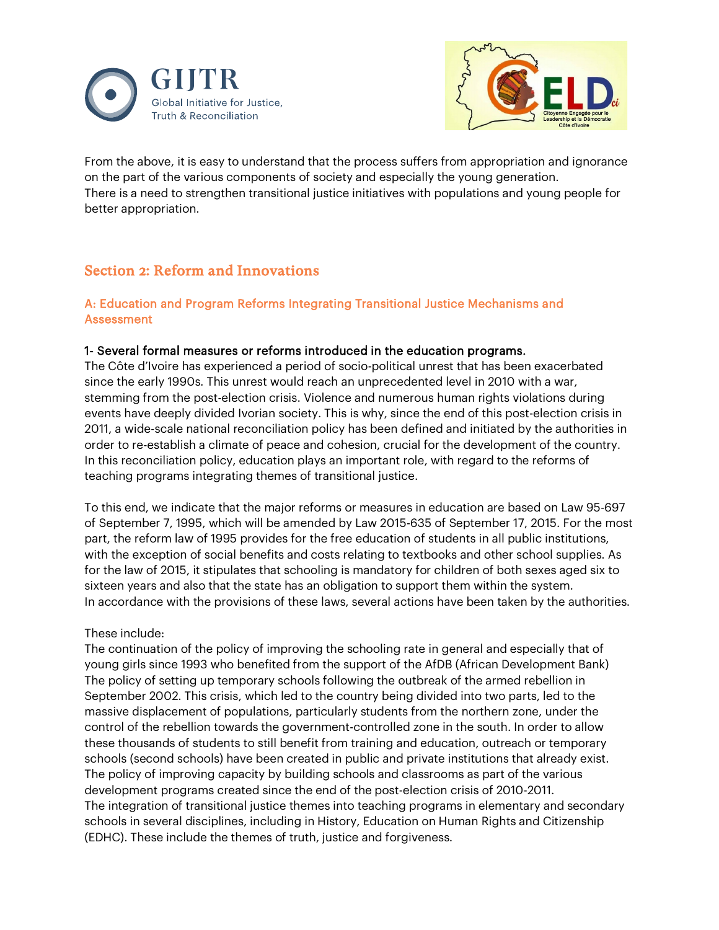



From the above, it is easy to understand that the process suffers from appropriation and ignorance on the part of the various components of society and especially the young generation. There is a need to strengthen transitional justice initiatives with populations and young people for better appropriation.

# Section 2: Reform and Innovations

#### A: Education and Program Reforms Integrating Transitional Justice Mechanisms and Assessment

#### 1- Several formal measures or reforms introduced in the education programs.

The Côte d'Ivoire has experienced a period of socio-political unrest that has been exacerbated since the early 1990s. This unrest would reach an unprecedented level in 2010 with a war, stemming from the post-election crisis. Violence and numerous human rights violations during events have deeply divided Ivorian society. This is why, since the end of this post-election crisis in 2011, a wide-scale national reconciliation policy has been defined and initiated by the authorities in order to re-establish a climate of peace and cohesion, crucial for the development of the country. In this reconciliation policy, education plays an important role, with regard to the reforms of teaching programs integrating themes of transitional justice.

To this end, we indicate that the major reforms or measures in education are based on Law 95-697 of September 7, 1995, which will be amended by Law 2015-635 of September 17, 2015. For the most part, the reform law of 1995 provides for the free education of students in all public institutions, with the exception of social benefits and costs relating to textbooks and other school supplies. As for the law of 2015, it stipulates that schooling is mandatory for children of both sexes aged six to sixteen years and also that the state has an obligation to support them within the system. In accordance with the provisions of these laws, several actions have been taken by the authorities.

#### These include:

The continuation of the policy of improving the schooling rate in general and especially that of young girls since 1993 who benefited from the support of the AfDB (African Development Bank) The policy of setting up temporary schools following the outbreak of the armed rebellion in September 2002. This crisis, which led to the country being divided into two parts, led to the massive displacement of populations, particularly students from the northern zone, under the control of the rebellion towards the government-controlled zone in the south. In order to allow these thousands of students to still benefit from training and education, outreach or temporary schools (second schools) have been created in public and private institutions that already exist. The policy of improving capacity by building schools and classrooms as part of the various development programs created since the end of the post-election crisis of 2010-2011. The integration of transitional justice themes into teaching programs in elementary and secondary schools in several disciplines, including in History, Education on Human Rights and Citizenship (EDHC). These include the themes of truth, justice and forgiveness.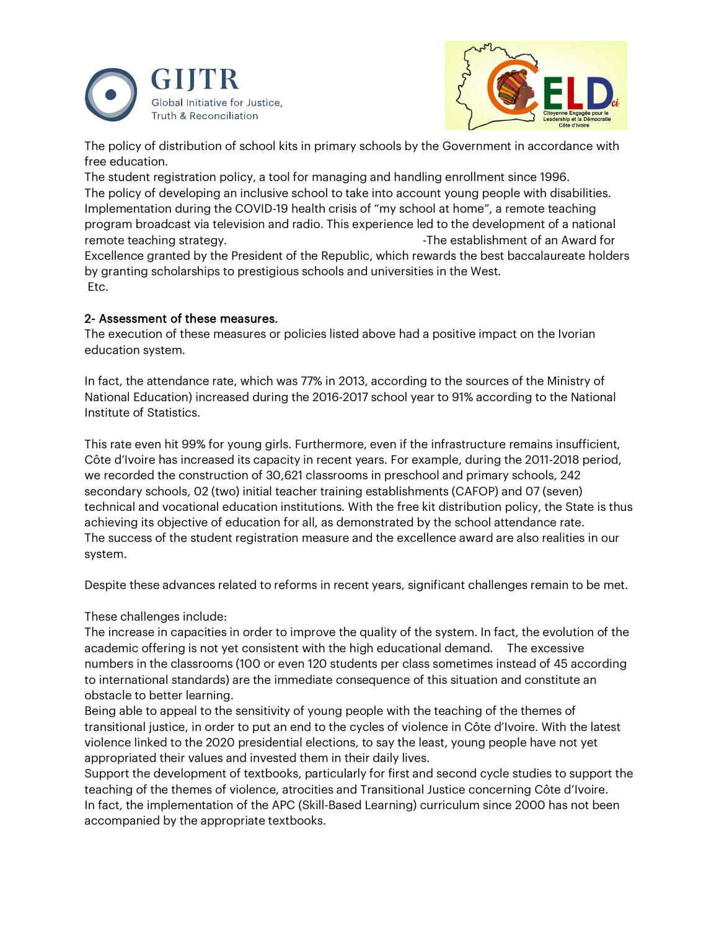



The policy of distribution of school kits in primary schools by the Government in accordance with free education.

The student registration policy, a tool for managing and handling enrollment since 1996. The policy of developing an inclusive school to take into account young people with disabilities. Implementation during the COVID-19 health crisis of "my school at home", a remote teaching program broadcast via television and radio. This experience led to the development of a national remote teaching strategy. The establishment of an Award for strategy. Excellence granted by the President of the Republic, which rewards the best baccalaureate holders by granting scholarships to prestigious schools and universities in the West. Etc.

#### 2- Assessment of these measures.

The execution of these measures or policies listed above had a positive impact on the Ivorian education system.

In fact, the attendance rate, which was 77% in 2013, according to the sources of the Ministry of National Education) increased during the 2016-2017 school year to 91% according to the National Institute of Statistics.

This rate even hit 99% for young girls. Furthermore, even if the infrastructure remains insufficient, Côte d'Ivoire has increased its capacity in recent years. For example, during the 2011-2018 period, we recorded the construction of 30,621 classrooms in preschool and primary schools, 242 secondary schools, 02 (two) initial teacher training establishments (CAFOP) and 07 (seven) technical and vocational education institutions. With the free kit distribution policy, the State is thus achieving its objective of education for all, as demonstrated by the school attendance rate. The success of the student registration measure and the excellence award are also realities in our system.

Despite these advances related to reforms in recent years, significant challenges remain to be met.

These challenges include:

The increase in capacities in order to improve the quality of the system. In fact, the evolution of the academic offering is not yet consistent with the high educational demand. The excessive numbers in the classrooms (100 or even 120 students per class sometimes instead of 45 according to international standards) are the immediate consequence of this situation and constitute an obstacle to better learning.

Being able to appeal to the sensitivity of young people with the teaching of the themes of transitional justice, in order to put an end to the cycles of violence in Côte d'Ivoire. With the latest violence linked to the 2020 presidential elections, to say the least, young people have not yet appropriated their values and invested them in their daily lives.

Support the development of textbooks, particularly for first and second cycle studies to support the teaching of the themes of violence, atrocities and Transitional Justice concerning Côte d'Ivoire. In fact, the implementation of the APC (Skill-Based Learning) curriculum since 2000 has not been accompanied by the appropriate textbooks.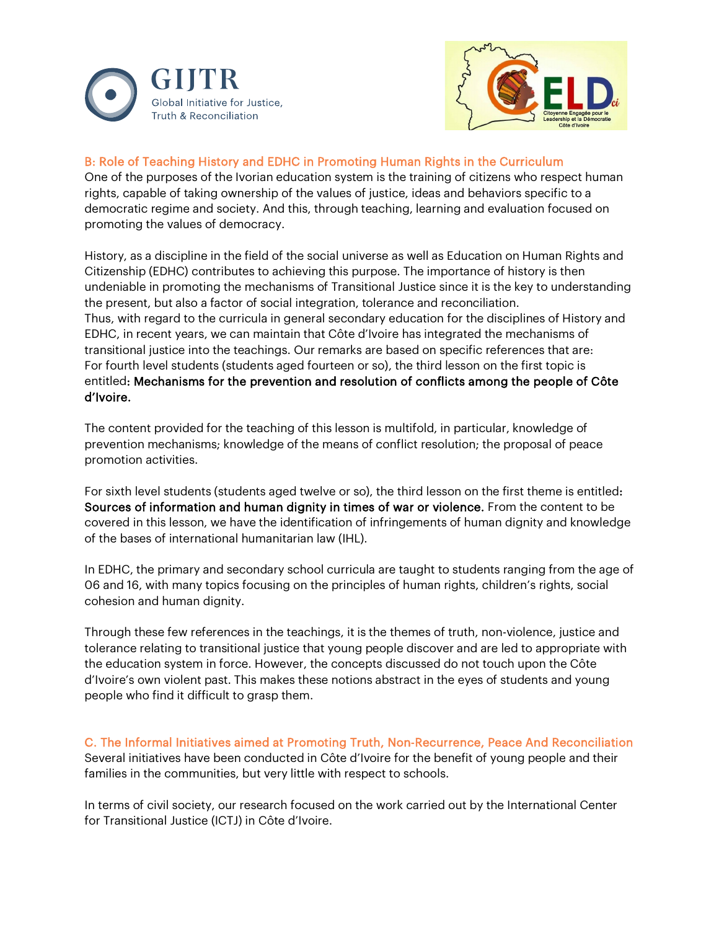



#### B: Role of Teaching History and EDHC in Promoting Human Rights in the Curriculum

One of the purposes of the Ivorian education system is the training of citizens who respect human rights, capable of taking ownership of the values of justice, ideas and behaviors specific to a democratic regime and society. And this, through teaching, learning and evaluation focused on promoting the values of democracy.

History, as a discipline in the field of the social universe as well as Education on Human Rights and Citizenship (EDHC) contributes to achieving this purpose. The importance of history is then undeniable in promoting the mechanisms of Transitional Justice since it is the key to understanding the present, but also a factor of social integration, tolerance and reconciliation. Thus, with regard to the curricula in general secondary education for the disciplines of History and EDHC, in recent years, we can maintain that Côte d'Ivoire has integrated the mechanisms of transitional justice into the teachings. Our remarks are based on specific references that are: For fourth level students (students aged fourteen or so), the third lesson on the first topic is entitled: Mechanisms for the prevention and resolution of conflicts among the people of Côte d'Ivoire.

The content provided for the teaching of this lesson is multifold, in particular, knowledge of prevention mechanisms; knowledge of the means of conflict resolution; the proposal of peace promotion activities.

For sixth level students (students aged twelve or so), the third lesson on the first theme is entitled: Sources of information and human dignity in times of war or violence. From the content to be covered in this lesson, we have the identification of infringements of human dignity and knowledge of the bases of international humanitarian law (IHL).

In EDHC, the primary and secondary school curricula are taught to students ranging from the age of 06 and 16, with many topics focusing on the principles of human rights, children's rights, social cohesion and human dignity.

Through these few references in the teachings, it is the themes of truth, non-violence, justice and tolerance relating to transitional justice that young people discover and are led to appropriate with the education system in force. However, the concepts discussed do not touch upon the Côte d'Ivoire's own violent past. This makes these notions abstract in the eyes of students and young people who find it difficult to grasp them.

C. The Informal Initiatives aimed at Promoting Truth, Non-Recurrence, Peace And Reconciliation Several initiatives have been conducted in Côte d'Ivoire for the benefit of young people and their families in the communities, but very little with respect to schools.

In terms of civil society, our research focused on the work carried out by the International Center for Transitional Justice (ICTJ) in Côte d'Ivoire.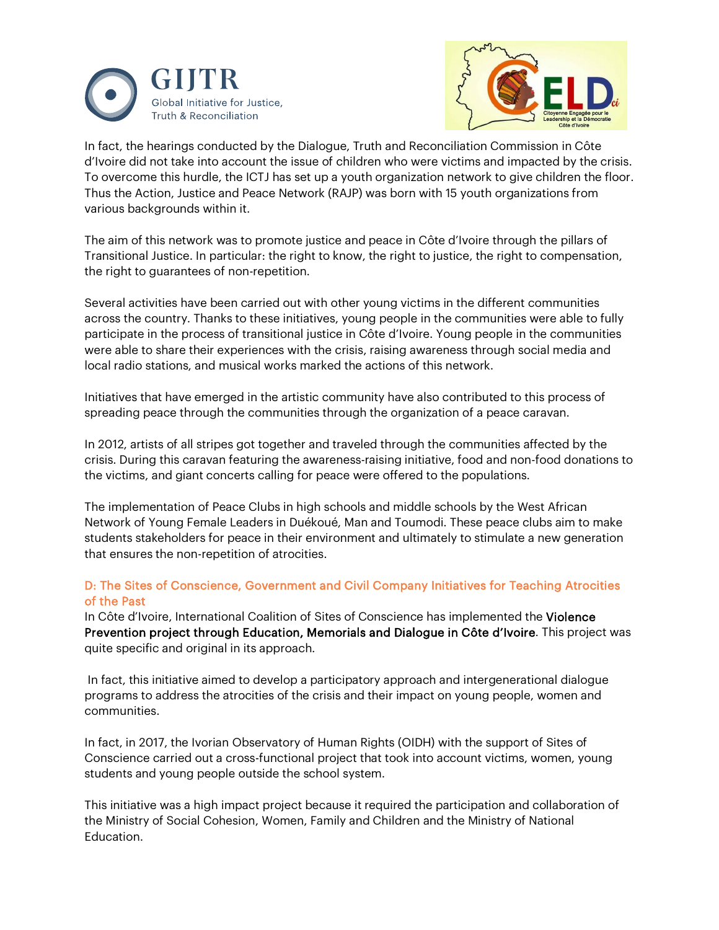



In fact, the hearings conducted by the Dialogue, Truth and Reconciliation Commission in Côte d'Ivoire did not take into account the issue of children who were victims and impacted by the crisis. To overcome this hurdle, the ICTJ has set up a youth organization network to give children the floor. Thus the Action, Justice and Peace Network (RAJP) was born with 15 youth organizations from various backgrounds within it.

The aim of this network was to promote justice and peace in Côte d'Ivoire through the pillars of Transitional Justice. In particular: the right to know, the right to justice, the right to compensation, the right to guarantees of non-repetition.

Several activities have been carried out with other young victims in the different communities across the country. Thanks to these initiatives, young people in the communities were able to fully participate in the process of transitional justice in Côte d'Ivoire. Young people in the communities were able to share their experiences with the crisis, raising awareness through social media and local radio stations, and musical works marked the actions of this network.

Initiatives that have emerged in the artistic community have also contributed to this process of spreading peace through the communities through the organization of a peace caravan.

In 2012, artists of all stripes got together and traveled through the communities affected by the crisis. During this caravan featuring the awareness-raising initiative, food and non-food donations to the victims, and giant concerts calling for peace were offered to the populations.

The implementation of Peace Clubs in high schools and middle schools by the West African Network of Young Female Leaders in Duékoué, Man and Toumodi. These peace clubs aim to make students stakeholders for peace in their environment and ultimately to stimulate a new generation that ensures the non-repetition of atrocities.

#### D: The Sites of Conscience, Government and Civil Company Initiatives for Teaching Atrocities of the Past

In Côte d'Ivoire, International Coalition of Sites of Conscience has implemented the Violence Prevention project through Education, Memorials and Dialogue in Côte d'Ivoire. This project was quite specific and original in its approach.

In fact, this initiative aimed to develop a participatory approach and intergenerational dialogue programs to address the atrocities of the crisis and their impact on young people, women and communities.

In fact, in 2017, the Ivorian Observatory of Human Rights (OIDH) with the support of Sites of Conscience carried out a cross-functional project that took into account victims, women, young students and young people outside the school system.

This initiative was a high impact project because it required the participation and collaboration of the Ministry of Social Cohesion, Women, Family and Children and the Ministry of National Education.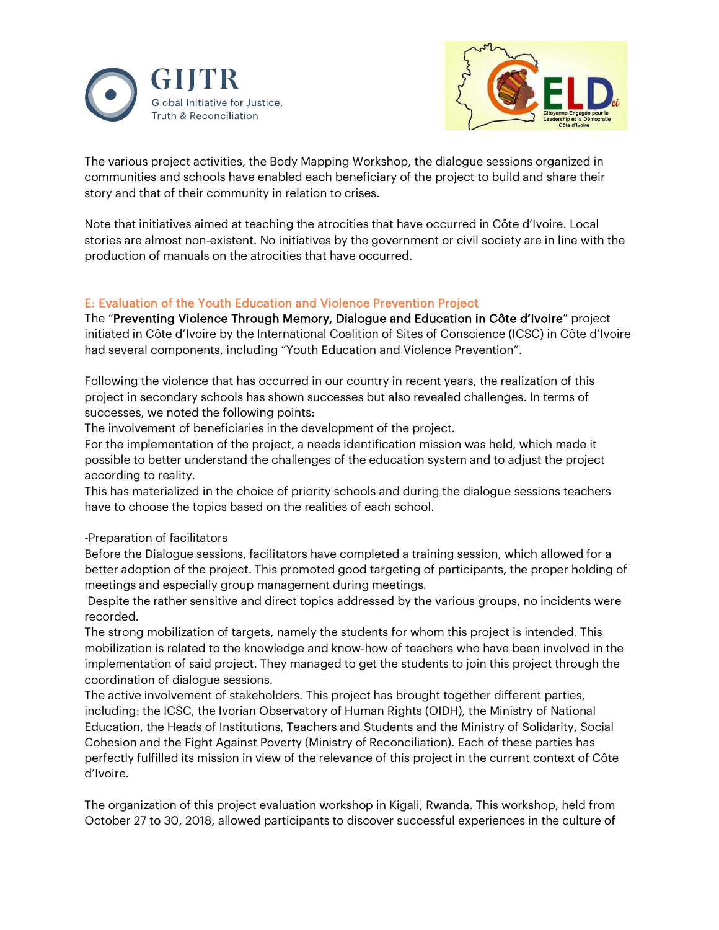



The various project activities, the Body Mapping Workshop, the dialogue sessions organized in communities and schools have enabled each beneficiary of the project to build and share their story and that of their community in relation to crises.

Note that initiatives aimed at teaching the atrocities that have occurred in Côte d'Ivoire. Local stories are almost non-existent. No initiatives by the government or civil society are in line with the production of manuals on the atrocities that have occurred.

#### E: Evaluation of the Youth Education and Violence Prevention Project

The "Preventing Violence Through Memory, Dialogue and Education in Côte d'Ivoire" project initiated in Côte d'Ivoire by the International Coalition of Sites of Conscience (ICSC) in Côte d'Ivoire had several components, including "Youth Education and Violence Prevention".

Following the violence that has occurred in our country in recent years, the realization of this project in secondary schools has shown successes but also revealed challenges. In terms of successes, we noted the following points:

The involvement of beneficiaries in the development of the project.

For the implementation of the project, a needs identification mission was held, which made it possible to better understand the challenges of the education system and to adjust the project according to reality.

This has materialized in the choice of priority schools and during the dialogue sessions teachers have to choose the topics based on the realities of each school.

-Preparation of facilitators

Before the Dialogue sessions, facilitators have completed a training session, which allowed for a better adoption of the project. This promoted good targeting of participants, the proper holding of meetings and especially group management during meetings.

Despite the rather sensitive and direct topics addressed by the various groups, no incidents were recorded.

The strong mobilization of targets, namely the students for whom this project is intended. This mobilization is related to the knowledge and know-how of teachers who have been involved in the implementation of said project. They managed to get the students to join this project through the coordination of dialogue sessions.

The active involvement of stakeholders. This project has brought together different parties, including: the ICSC, the Ivorian Observatory of Human Rights (OIDH), the Ministry of National Education, the Heads of Institutions, Teachers and Students and the Ministry of Solidarity, Social Cohesion and the Fight Against Poverty (Ministry of Reconciliation). Each of these parties has perfectly fulfilled its mission in view of the relevance of this project in the current context of Côte d'Ivoire.

The organization of this project evaluation workshop in Kigali, Rwanda. This workshop, held from October 27 to 30, 2018, allowed participants to discover successful experiences in the culture of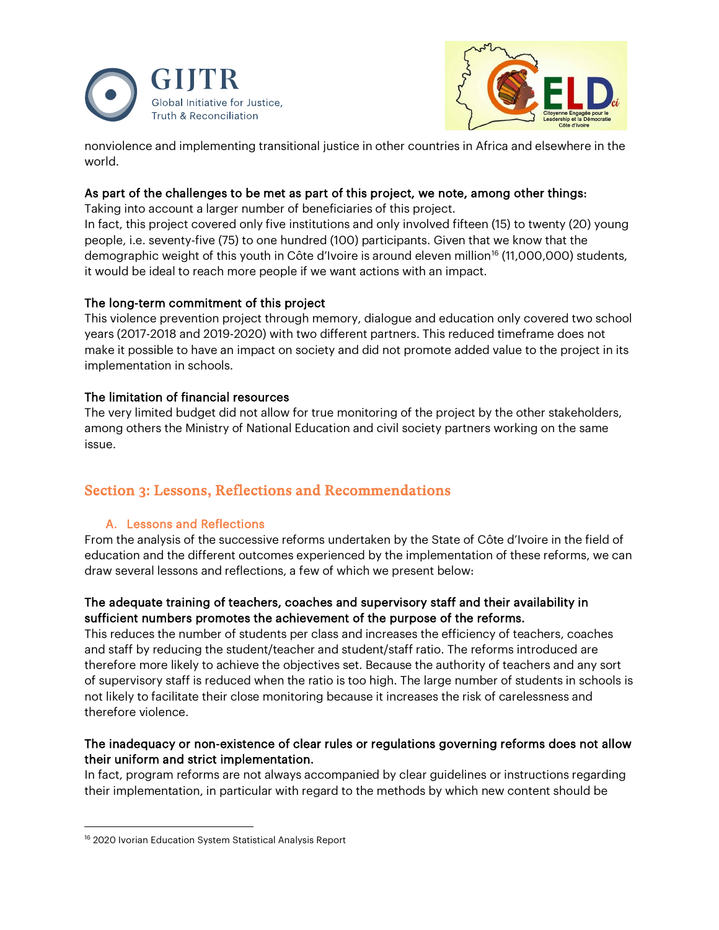



nonviolence and implementing transitional justice in other countries in Africa and elsewhere in the world.

#### As part of the challenges to be met as part of this project, we note, among other things:

Taking into account a larger number of beneficiaries of this project.

In fact, this project covered only five institutions and only involved fifteen (15) to twenty (20) young people, i.e. seventy-five (75) to one hundred (100) participants. Given that we know that the demographic weight of this youth in Côte d'Ivoire is around eleven million<sup>[16](#page-12-0)</sup> (11,000,000) students, it would be ideal to reach more people if we want actions with an impact.

### The long-term commitment of this project

This violence prevention project through memory, dialogue and education only covered two school years (2017-2018 and 2019-2020) with two different partners. This reduced timeframe does not make it possible to have an impact on society and did not promote added value to the project in its implementation in schools.

### The limitation of financial resources

The very limited budget did not allow for true monitoring of the project by the other stakeholders, among others the Ministry of National Education and civil society partners working on the same issue.

# Section 3: Lessons, Reflections and Recommendations

### A. Lessons and Reflections

From the analysis of the successive reforms undertaken by the State of Côte d'Ivoire in the field of education and the different outcomes experienced by the implementation of these reforms, we can draw several lessons and reflections, a few of which we present below:

#### The adequate training of teachers, coaches and supervisory staff and their availability in sufficient numbers promotes the achievement of the purpose of the reforms.

This reduces the number of students per class and increases the efficiency of teachers, coaches and staff by reducing the student/teacher and student/staff ratio. The reforms introduced are therefore more likely to achieve the objectives set. Because the authority of teachers and any sort of supervisory staff is reduced when the ratio is too high. The large number of students in schools is not likely to facilitate their close monitoring because it increases the risk of carelessness and therefore violence.

#### The inadequacy or non-existence of clear rules or regulations governing reforms does not allow their uniform and strict implementation.

In fact, program reforms are not always accompanied by clear guidelines or instructions regarding their implementation, in particular with regard to the methods by which new content should be

<span id="page-12-0"></span><sup>&</sup>lt;sup>16</sup> 2020 Ivorian Education System Statistical Analysis Report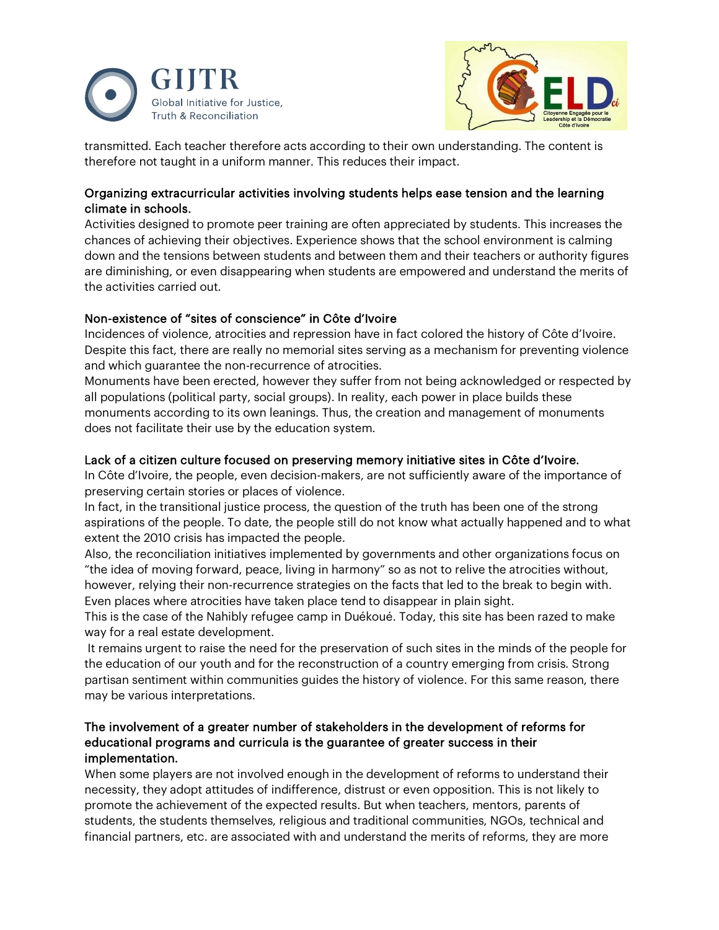



transmitted. Each teacher therefore acts according to their own understanding. The content is therefore not taught in a uniform manner. This reduces their impact.

#### Organizing extracurricular activities involving students helps ease tension and the learning climate in schools.

Activities designed to promote peer training are often appreciated by students. This increases the chances of achieving their objectives. Experience shows that the school environment is calming down and the tensions between students and between them and their teachers or authority figures are diminishing, or even disappearing when students are empowered and understand the merits of the activities carried out.

#### Non-existence of "sites of conscience" in Côte d'Ivoire

Incidences of violence, atrocities and repression have in fact colored the history of Côte d'Ivoire. Despite this fact, there are really no memorial sites serving as a mechanism for preventing violence and which guarantee the non-recurrence of atrocities.

Monuments have been erected, however they suffer from not being acknowledged or respected by all populations (political party, social groups). In reality, each power in place builds these monuments according to its own leanings. Thus, the creation and management of monuments does not facilitate their use by the education system.

#### Lack of a citizen culture focused on preserving memory initiative sites in Côte d'Ivoire.

In Côte d'Ivoire, the people, even decision-makers, are not sufficiently aware of the importance of preserving certain stories or places of violence.

In fact, in the transitional justice process, the question of the truth has been one of the strong aspirations of the people. To date, the people still do not know what actually happened and to what extent the 2010 crisis has impacted the people.

Also, the reconciliation initiatives implemented by governments and other organizations focus on "the idea of moving forward, peace, living in harmony" so as not to relive the atrocities without, however, relying their non-recurrence strategies on the facts that led to the break to begin with. Even places where atrocities have taken place tend to disappear in plain sight.

This is the case of the Nahibly refugee camp in Duékoué. Today, this site has been razed to make way for a real estate development.

It remains urgent to raise the need for the preservation of such sites in the minds of the people for the education of our youth and for the reconstruction of a country emerging from crisis. Strong partisan sentiment within communities guides the history of violence. For this same reason, there may be various interpretations.

#### The involvement of a greater number of stakeholders in the development of reforms for educational programs and curricula is the guarantee of greater success in their implementation.

When some players are not involved enough in the development of reforms to understand their necessity, they adopt attitudes of indifference, distrust or even opposition. This is not likely to promote the achievement of the expected results. But when teachers, mentors, parents of students, the students themselves, religious and traditional communities, NGOs, technical and financial partners, etc. are associated with and understand the merits of reforms, they are more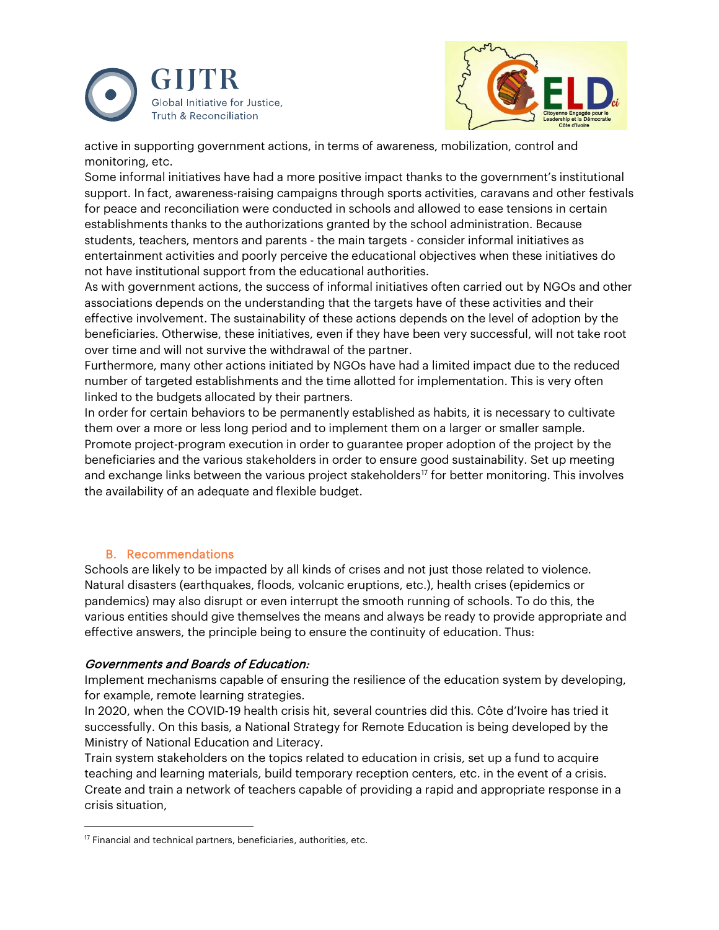



active in supporting government actions, in terms of awareness, mobilization, control and monitoring, etc.

Some informal initiatives have had a more positive impact thanks to the government's institutional support. In fact, awareness-raising campaigns through sports activities, caravans and other festivals for peace and reconciliation were conducted in schools and allowed to ease tensions in certain establishments thanks to the authorizations granted by the school administration. Because students, teachers, mentors and parents - the main targets - consider informal initiatives as entertainment activities and poorly perceive the educational objectives when these initiatives do not have institutional support from the educational authorities.

As with government actions, the success of informal initiatives often carried out by NGOs and other associations depends on the understanding that the targets have of these activities and their effective involvement. The sustainability of these actions depends on the level of adoption by the beneficiaries. Otherwise, these initiatives, even if they have been very successful, will not take root over time and will not survive the withdrawal of the partner.

Furthermore, many other actions initiated by NGOs have had a limited impact due to the reduced number of targeted establishments and the time allotted for implementation. This is very often linked to the budgets allocated by their partners.

In order for certain behaviors to be permanently established as habits, it is necessary to cultivate them over a more or less long period and to implement them on a larger or smaller sample. Promote project-program execution in order to guarantee proper adoption of the project by the beneficiaries and the various stakeholders in order to ensure good sustainability. Set up meeting and exchange links between the various project stakeholders<sup>[17](#page-14-0)</sup> for better monitoring. This involves the availability of an adequate and flexible budget.

#### B. Recommendations

Schools are likely to be impacted by all kinds of crises and not just those related to violence. Natural disasters (earthquakes, floods, volcanic eruptions, etc.), health crises (epidemics or pandemics) may also disrupt or even interrupt the smooth running of schools. To do this, the various entities should give themselves the means and always be ready to provide appropriate and effective answers, the principle being to ensure the continuity of education. Thus:

#### Governments and Boards of Education:

Implement mechanisms capable of ensuring the resilience of the education system by developing, for example, remote learning strategies.

In 2020, when the COVID-19 health crisis hit, several countries did this. Côte d'Ivoire has tried it successfully. On this basis, a National Strategy for Remote Education is being developed by the Ministry of National Education and Literacy.

Train system stakeholders on the topics related to education in crisis, set up a fund to acquire teaching and learning materials, build temporary reception centers, etc. in the event of a crisis. Create and train a network of teachers capable of providing a rapid and appropriate response in a crisis situation,

<span id="page-14-0"></span> $17$  Financial and technical partners, beneficiaries, authorities, etc.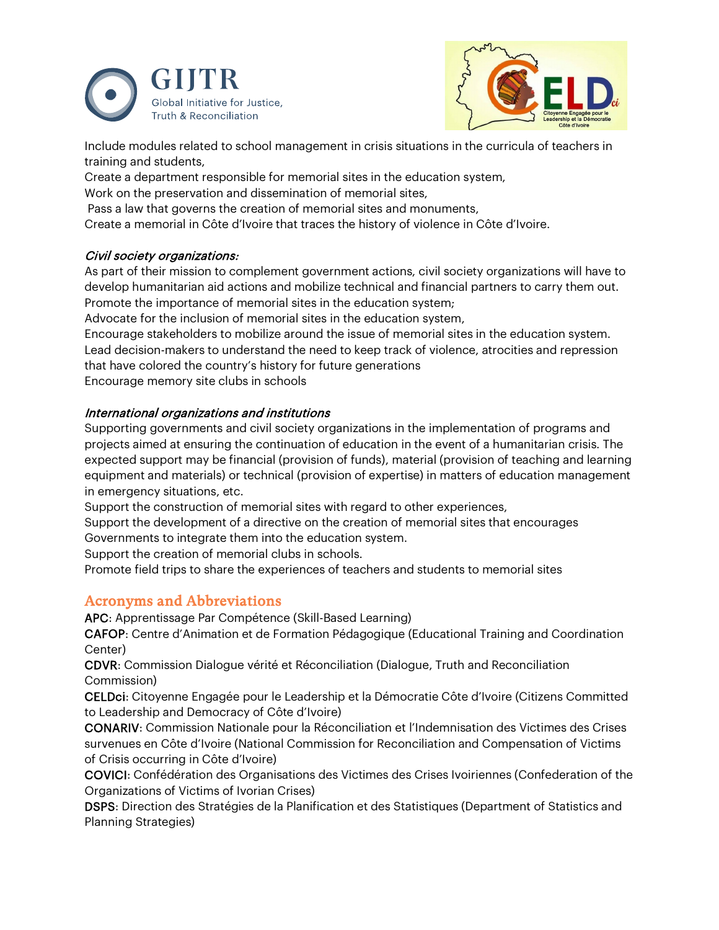



Include modules related to school management in crisis situations in the curricula of teachers in training and students,

Create a department responsible for memorial sites in the education system,

Work on the preservation and dissemination of memorial sites,

Pass a law that governs the creation of memorial sites and monuments,

Create a memorial in Côte d'Ivoire that traces the history of violence in Côte d'Ivoire.

#### Civil society organizations:

As part of their mission to complement government actions, civil society organizations will have to develop humanitarian aid actions and mobilize technical and financial partners to carry them out. Promote the importance of memorial sites in the education system;

Advocate for the inclusion of memorial sites in the education system,

Encourage stakeholders to mobilize around the issue of memorial sites in the education system. Lead decision-makers to understand the need to keep track of violence, atrocities and repression that have colored the country's history for future generations Encourage memory site clubs in schools

#### International organizations and institutions

Supporting governments and civil society organizations in the implementation of programs and projects aimed at ensuring the continuation of education in the event of a humanitarian crisis. The expected support may be financial (provision of funds), material (provision of teaching and learning equipment and materials) or technical (provision of expertise) in matters of education management in emergency situations, etc.

Support the construction of memorial sites with regard to other experiences,

Support the development of a directive on the creation of memorial sites that encourages Governments to integrate them into the education system.

Support the creation of memorial clubs in schools.

Promote field trips to share the experiences of teachers and students to memorial sites

### Acronyms and Abbreviations

APC: Apprentissage Par Compétence (Skill-Based Learning)

CAFOP: Centre d'Animation et de Formation Pédagogique (Educational Training and Coordination Center)

CDVR: Commission Dialogue vérité et Réconciliation (Dialogue, Truth and Reconciliation Commission)

CELDci: Citoyenne Engagée pour le Leadership et la Démocratie Côte d'Ivoire (Citizens Committed to Leadership and Democracy of Côte d'Ivoire)

CONARIV: Commission Nationale pour la Réconciliation et l'Indemnisation des Victimes des Crises survenues en Côte d'Ivoire (National Commission for Reconciliation and Compensation of Victims of Crisis occurring in Côte d'Ivoire)

COVICI: Confédération des Organisations des Victimes des Crises Ivoiriennes (Confederation of the Organizations of Victims of Ivorian Crises)

DSPS: Direction des Stratégies de la Planification et des Statistiques (Department of Statistics and Planning Strategies)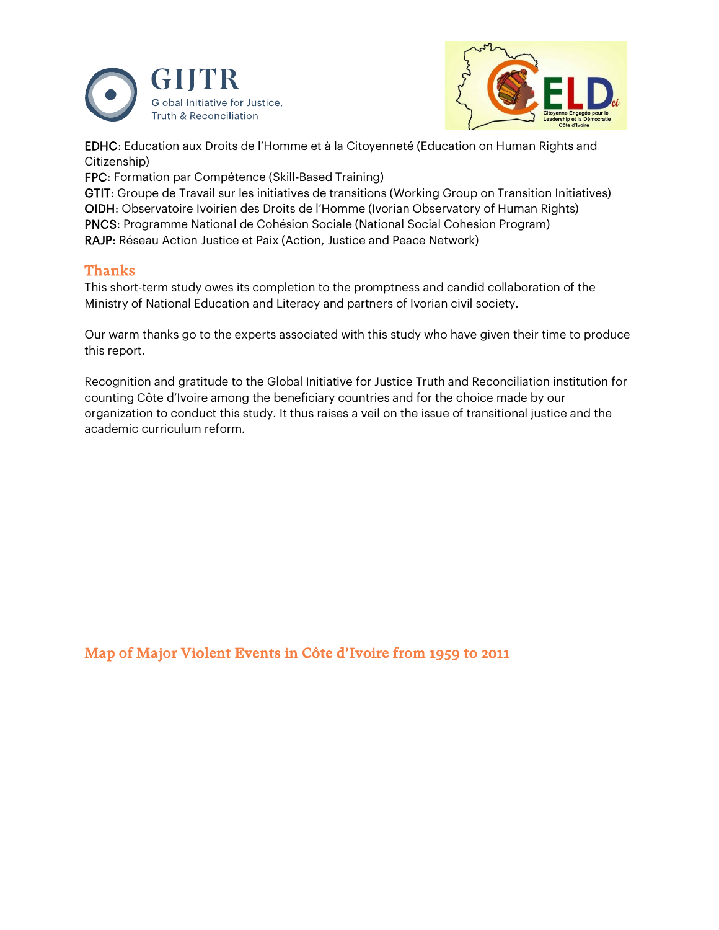



EDHC: Education aux Droits de l'Homme et à la Citoyenneté (Education on Human Rights and Citizenship)

FPC: Formation par Compétence (Skill-Based Training)

GTIT: Groupe de Travail sur les initiatives de transitions (Working Group on Transition Initiatives) OIDH: Observatoire Ivoirien des Droits de l'Homme (Ivorian Observatory of Human Rights) PNCS: Programme National de Cohésion Sociale (National Social Cohesion Program) RAJP: Réseau Action Justice et Paix (Action, Justice and Peace Network)

# Thanks

This short-term study owes its completion to the promptness and candid collaboration of the Ministry of National Education and Literacy and partners of Ivorian civil society.

Our warm thanks go to the experts associated with this study who have given their time to produce this report.

Recognition and gratitude to the Global Initiative for Justice Truth and Reconciliation institution for counting Côte d'Ivoire among the beneficiary countries and for the choice made by our organization to conduct this study. It thus raises a veil on the issue of transitional justice and the academic curriculum reform.

Map of Major Violent Events in Côte d'Ivoire from 1959 to 2011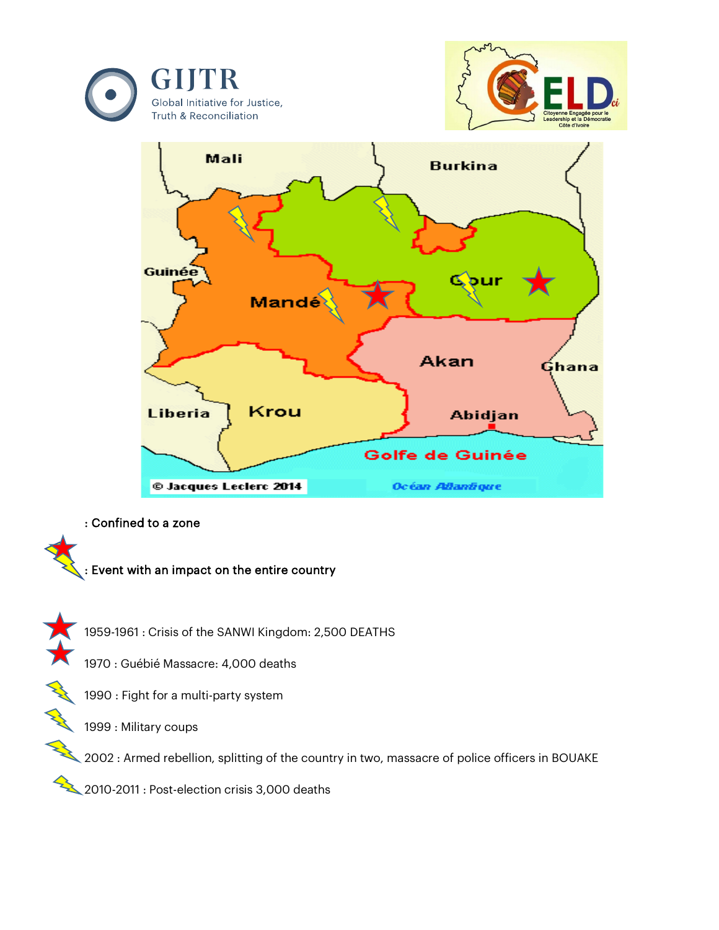





: Confined to a zone



1959-1961 : Crisis of the SANWI Kingdom: 2,500 DEATHS

1970 : Guébié Massacre: 4,000 deaths

1990 : Fight for a multi-party system

1999 : Military coups

2002 : Armed rebellion, splitting of the country in two, massacre of police officers in BOUAKE

2010-2011 : Post-election crisis 3,000 deaths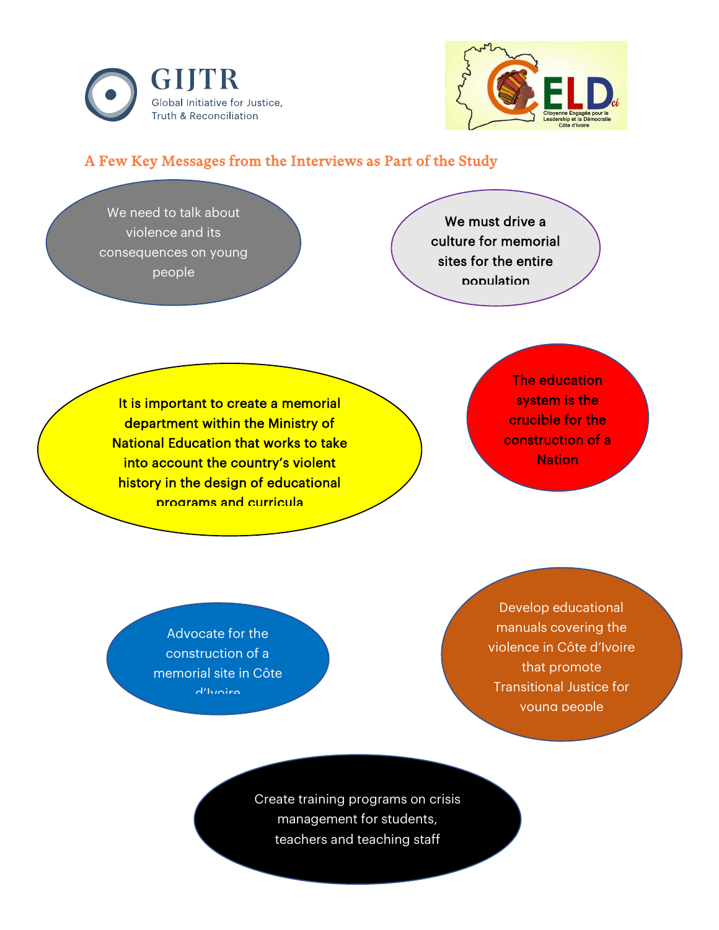



# A Few Key Messages from the Interviews as Part of the Study

We need to talk about violence and its consequences on young people

We must drive a culture for memorial sites for the entire population

It is important to create a memorial department within the Ministry of National Education that works to take into account the country's violent history in the design of educational programs and curricula

The education system is the crucible for the construction of a **Nation** 

Advocate for the construction of a memorial site in Côte d'Ivoire

Develop educational manuals covering the violence in Côte d'Ivoire that promote Transitional Justice for young people

Create training programs on crisis management for students, teachers and teaching staff